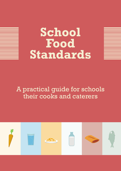# **School Food Standards**



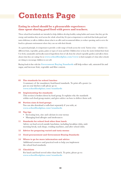# **Contents Page**

## **Eating in school should be a pleasurable experience: time spent sharing good food with peers and teachers.**

These school food standards are intended to help children develop healthy eating habits and ensure that they get the energy and nutrition they need across the whole school day. It is just as important to cook food that looks good and tastes delicious; to talk to children about what is on offer and recommend dishes; to reduce queuing; and to serve the food in a pleasant environment where they can eat with their friends.

As a general principle, it is important to provide a wide range of foods across the week. Variety is key – whether it is different fruits, vegetables, grains, pulses or types of meat and fish. Children love to hear the stories behind their food. Use fresh, sustainable and locally-sourced ingredients (best of all, from the school vegetable garden) and talk to them about what they are eating. Go to **www.schoolfoodplan.com/www** to find examples of what other schools are doing to encourage children to eat well.

Buying foods in line with the **Government Buying Standards** will help reduce salt, saturated fat and sugar, and increase fruit, vegetable and fibre content.

## **03 The standards for school lunches**

 A summary of the mandatory food-based standards. To print off a poster (to put on your kitchen wall) please go to: **www.schoolfoodplan.com/standards**

## **04 Implementing the standards**

 This section is broken down by food group. It explains why the standards within each food group matter, and gives advice on how to deliver them well.

## **06 Portion sizes & food groups**

 You can also download a wall-chart separately if you wish, at: **www.schoolfoodplan.com/standards**

## **10 Top tips**

- Increasing iron, zinc and calcium in your menus
- Managing food allergies and intolerances

## **11 Standards for school food other than lunch** Advice on food served outside lunchtime, including breakfast clubs, mid-

morning break, tuck shops, vending machines, and after school clubs.

- **12 Advice for preparing varied and tasty menus**
- **13 Good procurement and Government Buying Standards**

## **14 Where to go for more information and advice** Additional resources and practical tools to help you implement the school food standards.

## **15 Checklists**

 For lunch and food served other than lunch. To print, please go to: **www.schoolfoodplan.com/standards**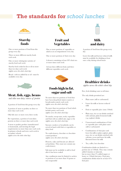# **The standards for** *school lunches*





One or more portions of food from this group every day

Three or more different starchy foods each week

One or more wholegrain varieties of starchy food each week

Starchy food cooked in fat or oil no more than two days each week *(applies across the whole school day)*

Bread - with no added fat or oil - must be available every day



## Meat, fish, eggs, beans

*and other non-dairy sources of protein*

A portion of food from this group every day

A portion of meat or poultry on three or more days each week

Oily fish once or more every three weeks

For vegetarians, a portion of non-dairy protein on three or more days each week

A meat or poultry product (manufactured or homemade, and meeting the legal requirements) no more than once each week in primary schools and twice each week in secondary schools

*(applies across the whole school day)*



## Fruit and **Vegetables**

One or more portions of vegetables or salad as an accompaniment every day

One or more portions of fruit every day

A dessert containing at least 50% fruit two or more times each week

At least three different fruits and three different vegetables each week



## Milk and dairy

A portion of food from this group every day

Lower fat milk and lactose reduced milk must be available for drinking at least once a day during school hours



## Healthier drinks

*applies across the whole school day*

Free, fresh drinking water at all times

The only drinks permitted are:

- Plain water (still or carbonated)
- Lower fat milk or lactose reduced milk
- Fruit or vegetable juice (max 150mls)
- Plain soya, rice or oat drinks enriched with calcium; plain fermented milk (e.g. yoghurt) drinks
- Unsweetened combinations of fruit or vegetable juice with plain water (still or carbonated)
- Combinations of fruit juice and lower fat milk or plain yoghurt, plain soya, rice or oat drinks enriched with calcium; cocoa and lower fat milk; flavoured lower fat milk
- Tea, coffee, hot chocolate

Combination drinks are limited to a portion size of 330mls. They may contain added vitamins or minerals, but no more than 5% added sugars or honey or 150mls fruit juice. Fruit juice combination drinks must be at least 45% fruit juice

## Foods high in fat, sugar and salt

No more than two portions of food that have been deep-fried, batter-coated, or breadcrumb-coated, each week *(applies across the whole school day)*

No more than two portions of food which include pastry each week *(applies across the whole school day)*

No snacks, except nuts, seeds, vegetables and fruit with no added salt, sugar or fat *(applies across the whole school day)*

Savoury crackers or breadsticks can be served at lunch with fruit or vegetables or dairy food

No confectionery, chocolate or chocolatecoated products *(applies across the whole school day)*

Desserts, cakes and biscuits are allowed at lunchtime. They must not contain any confectionery

Salt must not be available to add to food after it has been cooked

Any condiments must be limited to sachets or portions of no more than 10 grams or one teaspoonful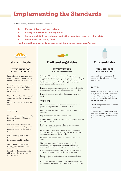# **Implementing the Standards**

A child's healthy, balanced diet should consist of:

- **1. Plenty of fruit and vegetables**
- **2. Plenty of unrefined starchy foods**
- **3. Some meat, fish, eggs, beans and other non-dairy sources of protein**
- **4. Some milk and dairy foods**

**(and a small amount of food and drink high in fat, sugar and/or salt)**



## Starchy foods

### **WHY IS THIS FOOD GROUP IMPORTANT?**

Starchy food is an important source of energy and B vitamins. Flour is fortified with iron and calcium too.

Wholegrain varieties of bread and pasta are good sources of fibre, which is important for a healthy digestive system.

Starchy foods help children feel full, so they are less likely to snack on foods high in fat, saturated fat, sugar, or salt.

## **TOP TIPS**

Use wholegrain varieties of starchy foods. Try using a 50:50 mix for pasta and rice.

Use at least half wholemeal or granary flour when making bread, puddings, cakes, biscuits, batters and sauces.

Use different types of bread, and look for products with higher fibre.

Do not add salt to water when cooking pasta, rice and other starchy foods.

Instead, add flavour to the main dish by using herbs, spices, garlic and vegetables.



## Fruit and Vegetables Milk and dairy

#### **WHY IS THIS FOOD GROUP IMPORTANT?**

Getting children to eat more fruit and vegetables (particularly vegetables) is vital for good health. Introducing children to a wide variety of fruit and vegetables establishes healthy eating habits for life, reducing the risk of heart disease, stroke and some cancers.

Fruit and vegetables are a good source of essential vitamins and minerals. They are also often a good source of fibre.

Fruit and vegetables add colour, flavour and variety to meals.

## **TOP TIPS**

Make sure your 'meal deals' always contain at least one portion of vegetable and one portion of fruit.

Provide at least two different coloured vegetables and fruits each day.

Buy fruit and vegetables that are in season.

Choose canned products in water or 'natural juice', with no added salt or sugar.

Don't serve baked beans more than once a week, and choose low-sugar and low-salt varieties.

Pulses count as vegetables. (However, if you are serving pulses as a non-dairy protein for vegetarians, you will need a separate vegetable serving as well).

Steam vegetables or boil them in a minimal amount of water.

Make sure that fruit and vegetables are displayed prominently and attractively. Talk to the children to encourage them to try new vegetable and fruit dishes.

Using produce from the school garden is a great way to encourage children to try new vegetables and fruit.

Price a portion of fruit so that it's cheaper than a hot or cold dessert.

For the benefit of picky eaters, smuggle lots of vegetables into composite dishes such as Bolognese or chilli con carne.

### **WHY IS THIS FOOD GROUP IMPORTANT?**

Dairy foods are a rich source of energy, protein, calcium, vitamin A and riboflavin.

### **TOP TIPS**

Hard cheeses such as cheddar tend to be higher in saturated fat than softer cheese. When using hard cheeses, choose stronger-tasting varieties and use smaller amounts.

Offer frozen yoghurt as an alternative to ice cream.

Buy low-sugar varieties of milkshakes and yoghurt drinks. Better still, make them yourself using fruit to sweeten them.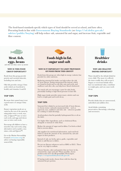The food-based standards specify which types of food should be served at school, and how often. Procuring foods in line with **Government Buying Standards** (see **http://sd.defra.gov.uk/ advice/public/buying**) will help reduce salt, saturated fat and sugar, and increase fruit, vegetable and fibre content.



## Meat, fish, eggs, beans *and other non-dairy sources of protein*

#### **WHY IS THIS FOOD GROUP IMPORTANT?**

Foods from this group provide protein and essential minerals, including iron and zinc.

Oily fish provides omega-3 fatty acids (which are beneficial to health) and vitamins A and D.

## **TOP TIPS**

Be aware that canned tuna is not a good source of omega-3 fatty acids.

Ensure vegetarian meals are as varied as the rest of the menu by using pulses twice a week, soya, tofu, or Quorn™ once or twice each week, and eggs and cheese once or twice each week.

Encourage all children to have a meat-free day each week, using alternatives such as pulses, soya mince, tofu and Quorn™.

Go to the Marine Stewardship Council (**www.msc.org**) for advice on buying responsibly sourced fish.



## Foods high in fat, sugar and salt

#### **WHY IS IT IMPORTANT TO LIMIT PROVISION OF FOOD FROM THIS GROUP?**

Foods from this group are often high in energy (calories) but provide few other nutrients.

Reducing saturated fat intake can help reduce the risk of heart disease. Eating unsaturated fats instead, which are found in foods such as oily fish, nuts and seeds, and sunflower and olive oils, can help lower blood cholesterol.

Too much salt can encourage a taste for salty foods, potentially leading to high blood pressure in later life.

High sugar intake provides unnecessary calories and can lead to weight gain and tooth decay.

## **TOP TIPS**

Saturated fat is linked to an increased risk of heart disease, so choose mono- and poly-unsaturated fats – such as rapeseed, soya, sunflower and olive oils – wherever possible for cooking or salad dressings.

Avoid products that list partially hydrogenated fat or oil on the label.

Use higher fibre ingredients, such as wholemeal flour, alongside or instead of white flour.

Reduce the amount of sugar used in dishes. Use fresh or dried fruit to sweeten dishes.

Ask suppliers for nutritional information, and read food labels to check the amount of fat, saturated fat, salt and sugars in their products.

Instead of salt, use herbs, spices, garlic, vegetables and fruits to add flavour to dishes.

Do not use flavour enhancers such as MSG or E621. These can be very high in sodium.

Choose biscuits, cakes and pastries that are lower in fat, saturated fat, sugar and salt. Where possible, choose products that meet the Responsibility Deal targets. **https://responsibilitydeal.dh.gov.uk** 

If buying ready meals, choose those with less than 6g saturated fat per portion.



#### **WHY ARE HEALTHY DRINKS IMPORTANT?**

Water should be the default drink for every child. The more it is offered, the more readily they will accept it. Sugary or sweetened drinks often have no nutritional value, contribute to weight gain, and can cause tooth decay.

## **TOP TIPS**

Provide drinks that are unsweetened, unfortified and additive-free.

Avoid drinks containing preservatives, flavourings, colourings and sweeteners.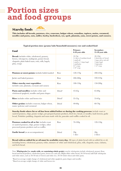# **Portion sizes and food groups**





**This includes all breads, potatoes, rice, couscous, bulgur wheat, semolina, tapioca, maize, cornmeal, noodles and pasta, oats, millet, barley, buckwheat, rye, spelt, plantain, yam, sweet potato, and cassava.**

| Food                                                                                                                                                                   |                    | Primary<br>4-10 year olds                                                                                                                        | Secondary<br>11-18 year olds                                                                                        |
|------------------------------------------------------------------------------------------------------------------------------------------------------------------------|--------------------|--------------------------------------------------------------------------------------------------------------------------------------------------|---------------------------------------------------------------------------------------------------------------------|
| <b>Bread:</b> includes white, wholemeal, granary,<br>brown, wheatgerm, multigrain, potato bread,<br>chapattis, plain baked naan, rotis, rolls, bagels,<br>pitta, wraps |                    | $(50-70g)$<br>1-2 slices of medium bread<br>1 small roll<br>1 small or $\frac{1}{2}$ large bagel<br>1 small pitta<br>$26$ " wraps<br>$110"$ wrap | $(80-100g)$<br>2 thick slices of bread<br>1 large roll or sub roll<br>1 large bagel<br>1 large pitta<br>$112"$ wrap |
| Potatoes or sweet potato: includes boiled mashed                                                                                                                       | Raw                | $120 - 170g$                                                                                                                                     | $200 - 250g$                                                                                                        |
| Jacket and baked potatoes                                                                                                                                              | Raw                | $200 - 280$ g                                                                                                                                    | $330 - 410g$                                                                                                        |
| Other starchy root vegetables:<br>includes yam, plantain, cocoyam and cassava                                                                                          | Raw                | $100 - 150g$                                                                                                                                     | $150 - 200g$                                                                                                        |
| Pasta and noodles: includes white and<br>wholemeal spaghetti, noodles and pasta shapes                                                                                 | Dried <sup>2</sup> | $45-65g$                                                                                                                                         | $65-80g$                                                                                                            |
| <b>Rice:</b> includes white and brown rice                                                                                                                             | Dried <sup>3</sup> | $35-55g$                                                                                                                                         | $55-65g$                                                                                                            |
| <b>Other grains:</b> includes couscous, bulgur wheat,<br>maize (polenta) and cornmeal                                                                                  | Dried              | $40-60g$                                                                                                                                         | $60 - 70$ g                                                                                                         |

**Typical portion sizes (grams/mls/household measures) raw and cooked food**

**Starchy foods where fat or oil has been added before or during the cooking process:** include roast or sautéed potatoes, chips, potato wedges, pre-prepared potato products, fried rice, bread, or noodles, hash browns, garlic bread, Yorkshire pudding, chapattis and naan made with fat, pancakes and waffles cooked in oil.

| <b>Potatoes cooked in oil or fat:</b> includes roast<br>or sautéed potatoes, chips, potato wedges, other<br>processed potato products such as waffles | Raw   | $70 - 100g$                | $120 - 150g$                |
|-------------------------------------------------------------------------------------------------------------------------------------------------------|-------|----------------------------|-----------------------------|
| <b>Garlic bread</b> (as an accompaniment)                                                                                                             | Dried | 20 <sub>g</sub><br>1 slice | 40 <sub>g</sub><br>2 slices |

**Bread with no added fat or oil must be available every day.** All types of plain bread with no added fat or oil, including brown, wholemeal, granary, white, mixtures of white and wholemeal, pitta, rolls, chapattis, naan, ciabatta, and herb bread.

Note: Wholegrain (i.e. made with, or containing whole grain): starchy wholegrains include wholemeal, granary flour, bread and bread products, wholewheat pasta, brown rice and oats. Higher-fibre white bread, 50/50 bread, half/half wholegrain and white mixes, such as 50/50 mix of brown and white rice, 50/50 whole wheat and white pasta.

1 Based on average weight change of wholemeal and white spaghetti, pasta shapes and noodles

<sup>2</sup> Based on average weight change of white and brown rice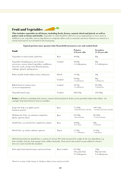## Fruit and Vegetables

**This includes vegetables in all forms, including fresh, frozen, canned, dried and juiced, as well as pulses such as beans and lentils.** Vegetables or salad should be offered as an accompaniment to every meal, in addition to any vegetables used as ingredients in composite dishes such as casseroles and stews. Potatoes are classed as a starchy food and are not included in this food group.

| Food                                                                                                                                                                                 |                    | Primary<br>4-10 year olds   | Secondary<br>11-18 year olds       |
|--------------------------------------------------------------------------------------------------------------------------------------------------------------------------------------|--------------------|-----------------------------|------------------------------------|
| Vegetables or mixed salad, salad bars                                                                                                                                                | Raw                | $40-60g$                    | 80 <sub>g</sub>                    |
| Vegetables including peas, green beans,<br>sweetcorn, carrots, mixed vegetables, cauliflower,<br>broccoli, swede, turnip, leek, Brussels sprouts,<br>cabbage, spinach, spring greens | Cooked             | $40-60g$<br>1-2 tablespoons | 80 <sub>g</sub><br>2-3 tablespoons |
| Pulses include lentils, kidney beans, chick peas                                                                                                                                     | Dried <sup>1</sup> | $15-20g$                    | 30 <sub>g</sub>                    |
|                                                                                                                                                                                      | Cooked             | $40-60g$<br>1-2 tablespoons | 80 <sub>g</sub><br>3 tablespoons   |
| Baked beans in tomato sauce<br>(as an accompaniment)                                                                                                                                 | Cooked             | $50-70g$<br>1-2 tablespoons | $90 - 100$ g<br>3 tablespoons      |
| Vegetable-based soup                                                                                                                                                                 | Cooked             | $200 - 250g$                | $250 - 300g$                       |

### **Typical portion sizes (grams/mls/household measures) raw and cooked food**

**Fruits** in all forms, including fresh, frozen, canned, dried and juiced. Fruits can be provided within other dishes - for example, fruit-based desserts such as crumbles.

| Large-size fruit, e.g. apples, pears,                | Raw   | $75 - 100$ g                             | $100 - 150g$                      |
|------------------------------------------------------|-------|------------------------------------------|-----------------------------------|
| bananas, peaches                                     |       | 1 small sized fruit with skin            | 1 medium sized fruit with skin    |
| Medium-size fruit, e.g. satsumas, tangerines,        | Raw   | $50 - 100$ g                             | $80 - 100$ g                      |
| plums, apricots, kiwis                               |       | 1 fruit with skin                        | 1-2 fruits with skin              |
| Small fruits, e.g. strawberries, raspberries, grapes | Raw   | $40-60g$<br>$10-15$ fruits               | 80 <sub>g</sub><br>$15-20$ fruits |
| Dried fruit, e.g. raisins, sultanas, apricots        | Dried | $15-30g$<br>$\frac{1}{2}$ - 1 tablespoon | $25-30g$<br>l tablespoon          |

All fruit-based desserts should have a content of at least  $50\%$  fruit measured by weight of the raw ingredients (e.g. fruit crumble, fruit pie, fruit sponge, fruit cobbler, fruit jelly). Fruit used as decoration or jam added to a dessert does not count towards this standard.

| Fruit salad, fruit tinned in juice and stewed fruit | Raw/cooked | $65 - 100g$<br>$(40 \text{ g min fruit})$<br>2-3 tablespoons | 130g<br>$80g \text{ min}$ fruit)<br>3-4 tablespoons |
|-----------------------------------------------------|------------|--------------------------------------------------------------|-----------------------------------------------------|
|-----------------------------------------------------|------------|--------------------------------------------------------------|-----------------------------------------------------|

3 Based on average weight change of chickpeas, kidney beans and green lentils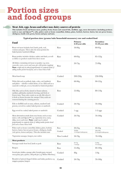# **Portion sizes and food groups**

## Meat, fish, eggs, beans and other non-dairy sources of protein

This includes fresh and frozen meat, poultry, fresh, frozen and canned fish, shellfish, eggs, meat alternatives (including products **such as soya and Quorn™), tofu, pulses such as beans (cannellini, kidney, pinto, borlotti, haricot, butter, but not green beans), chickpeas, lentils (red, green, brown and puy) and nuts.**

### **Typical portion sizes (grams/mls/household measures) raw and cooked food**

| <b>Food</b>                                                                                                                                                                                                                                                                               |            | Primary<br>4-10 year olds           | Secondary<br>11-18 year olds           |
|-------------------------------------------------------------------------------------------------------------------------------------------------------------------------------------------------------------------------------------------------------------------------------------------|------------|-------------------------------------|----------------------------------------|
| Roast red meat includes beef, lamb, pork, veal,<br>venison and goat. This is also the meat portion for<br>baked potato/sandwich fillings                                                                                                                                                  | Raw        | $50-80g$                            | $80-95g$                               |
| Roast poultry includes chicken, turkey and duck, as well<br>as dishes or products made from these meats                                                                                                                                                                                   | Raw        | $60-85g$                            | 85-125g                                |
| All dishes containing red meat or poultry (e.g. stew,<br>casserole, curry, sweet and sour, pie with potato topping)<br>Note: weight may be reduced proportionately in composite dishes if<br>adding another protein based food, such as beans/cheese/milk                                 | Raw        | $50 - 75g$                          | $75-90g$                               |
| Meat-based soup                                                                                                                                                                                                                                                                           | Cooked     | $200 - 250g$                        | $250 - 300$ g                          |
| White fish such as pollock, hake, coley, cod, haddock<br>and plaice - whether cooked alone, or in a dish such as a<br>casserole or fish pie, or as a breaded or battered product                                                                                                          | Raw        | $60-90g$                            | $90 - 125g$                            |
| Oily fish, such as fresh, tinned or frozen salmon,<br>sardines, pilchards, mackerel, herring, and fresh or<br>frozen tuna. Tuna only counts as an oily fish when it<br>is fresh or frozen because the omega-3 fatty acids are<br>removed during the canning process                       | Raw        | $55-80g$                            | $80 - 110g$                            |
| Fish or shellfish such as tuna, salmon, mackerel and<br>prawns, served in a salad, baked potato or sandwich                                                                                                                                                                               | Cooked     | $50 - 70g$                          | $70 - 100$ g                           |
| Egg served in a salad, baked potato or sandwich                                                                                                                                                                                                                                           | Cooked     | 1 <sub>egg</sub>                    | $1-2$ eggs                             |
| Meat alternatives made from soya beans, such as soya<br>mince, tofu and Quorn <sup>TM</sup> (e.g. vegetarian stew, curry,<br>tikka, sweet and sour). Note: weight may be reduced<br>proportionately in composite dishes if adding another protein-based<br>food such as beans/cheese/milk | Cooked     | $50-70g$                            | $70 - 100$ g                           |
| Pulses such as beans (cannellini, kidney, pinto, borlotti,                                                                                                                                                                                                                                | Raw        | $20-25g$                            | $40-45g$                               |
| haricot, butter, but not green beans), chickpeas, lentils<br>(red, green, brown and puy). This also includes nuts                                                                                                                                                                         | Cooked     | $50-60$ g<br>1-2 heaped tablespoons | $100 - 120g$<br>2-3 heaped tablespoons |
| Vegetarian sausages, burgers, nut cutlets                                                                                                                                                                                                                                                 | Raw/cooked | $50 - 70$ g                         | $70 - 100$ g                           |
| <b>Meat products</b>                                                                                                                                                                                                                                                                      |            |                                     |                                        |
| Sausages made from beef, lamb or pork                                                                                                                                                                                                                                                     | Raw        | $50-75g$<br>1 sausage               | $75-90g$<br>1-2 sausages               |
| <b>Burgers</b>                                                                                                                                                                                                                                                                            | Raw        | $55-80g$                            | $80 - 100$ g                           |
| Scotch pies, bridies, sausage rolls, Cornish pasty, encased<br>meat pastry pies, quiche, cold pork pie (e.g. Melton Mowbray)                                                                                                                                                              | Cooked     | 80 <sub>g</sub>                     | 110g                                   |
| Breaded or battered shaped chicken and turkey products, e.g.<br>nuggets, goujons, burgers                                                                                                                                                                                                 | Cooked     | $50 - 70g$                          | $70 - 100$ g                           |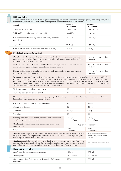#### Milk and dairy

portion size)

This includes all types of milk, cheese, yoghurt (including plain or fruit, frozen and drinking yoghurt), or fromage frais, milk**based sauces, custard (made with milk), puddings made from milk and milk-based sauces.**

| <b>Food</b>                                                                                                                                                                                                                                                      | Primary<br>4-10 year olds | Secondary<br>11-18 year olds            |
|------------------------------------------------------------------------------------------------------------------------------------------------------------------------------------------------------------------------------------------------------------------|---------------------------|-----------------------------------------|
| Lower-fat drinking milk                                                                                                                                                                                                                                          | $150 - 200$ mls           | 200-250 mls                             |
| Milk puddings and whips made with milk                                                                                                                                                                                                                           | $100 - 120g$              | $120 - 150g$                            |
| Custard made with milk (e.g. served with fruit); portion size<br>excludes fruit                                                                                                                                                                                  | $80 - 100$ g              | $100 - 120g$                            |
| Yoghurts                                                                                                                                                                                                                                                         | $80 - 120g$               | $120 - 150g$                            |
| Cheese (added to salads, baked potatoes, sandwiches or crackers)                                                                                                                                                                                                 | $20-30g$                  | $30-40g$                                |
| Foods high in fat, sugar and salt                                                                                                                                                                                                                                |                           |                                         |
| <b>Deep fried foods:</b> including those deep fried or flash fried in the kitchen or in the manufacturing<br>process, such as chips (including oven chips), potato waffles, hash browns, samosas, plantain chips,<br>spring rolls, doughnuts, pakora and bhajis. |                           | Refer to relevant portion<br>size table |
| Batter-coated and breadcrumb-coated foods: including any bought-in or homemade products<br>such as chicken nuggets, fish fingers, battered onion rings and tempura.                                                                                              |                           | Refer to relevant portion<br>size table |
| <b>Pastry:</b> including shortcrust, flaky, filo, choux and puff, used in quiches, meat pies, fruit pies,<br>fruit tarts, sausage rolls, pasties, samosa.                                                                                                        |                           | Refer to relevant portion<br>size table |

**Desserts:** include cereal and starch based desserts such as rice, semolina, tapioca pudding, fruit-based desserts such as jelly, fruit compote, crumbles, and sponge puddings, vegetable-based desserts such as soya-based mousse, egg-based desserts such as ready to eat products and products prepared from egg such as flans, egg custard, custard fillings in pies, meringues, dairy-based desserts such as puddings with dairy-based fillings, fruit or flavoured yoghurt or other fermented milk and/or milk products, ice cream, mousse and fat-based desserts, such as ice cream, made with vegetable fats.

| Fruit pies, sponge puddings or crumbles   | $80 - 100$ g | $100 - 120g$ |
|-------------------------------------------|--------------|--------------|
| Fruit jelly (portion size excludes fruit) | $80 - 100$ g | $100 - 120g$ |

**Cakes and biscuits:** include manufactured, bought-in products and prepared from scratch cakes and biscuits such as individual cakes, buns and pastries, scones, sweet and savoury biscuits.

|                                                                                                                                                                                                                                                                          | Cakes, tray bakes, muffins, scones, doughnuts                                                                                                                                                                                                                                                                | $40-50g$                             | $50-60g$                                                                      |
|--------------------------------------------------------------------------------------------------------------------------------------------------------------------------------------------------------------------------------------------------------------------------|--------------------------------------------------------------------------------------------------------------------------------------------------------------------------------------------------------------------------------------------------------------------------------------------------------------|--------------------------------------|-------------------------------------------------------------------------------|
|                                                                                                                                                                                                                                                                          | Biscuits and flapjack                                                                                                                                                                                                                                                                                        | $25 - 30g$                           | $30-40g$                                                                      |
|                                                                                                                                                                                                                                                                          | Ice cream                                                                                                                                                                                                                                                                                                    | $60-80g$                             | 100 <sub>g</sub>                                                              |
|                                                                                                                                                                                                                                                                          | Pizza base                                                                                                                                                                                                                                                                                                   | $50 - 70g$                           | $80 - 100$ g                                                                  |
|                                                                                                                                                                                                                                                                          | <b>Savoury crackers, bread sticks</b> (served with fruit, vegetables or<br>dairy foods); portion size excludes fruit.                                                                                                                                                                                        | $10 - 15g$<br>1-2 crackers           | $15-30g$<br>2-3 crackers                                                      |
|                                                                                                                                                                                                                                                                          | <b>Condiments:</b> include ketchup, mayonnaise, salad cream, brown<br>sauce, chutney.                                                                                                                                                                                                                        | no more than 10g, or one teaspoonful |                                                                               |
|                                                                                                                                                                                                                                                                          | Gravy                                                                                                                                                                                                                                                                                                        | $20-30g$<br>1 tablespoon             | $40-50g$<br>2 tablespoons                                                     |
| <b>Snacks'</b> means pre-packaged items other than confectionery, sandwiches, cakes or biscuits, which are<br>ready to eat without further preparation and which consist of or include as a basic ingredient potato,<br>cereals, soya, nuts, seeds, fruit or vegetables. |                                                                                                                                                                                                                                                                                                              |                                      | Refer to relevant portion size<br>table for fruit, vegetables and<br>crackers |
|                                                                                                                                                                                                                                                                          | Confectionery: includes cereal bars, processed fruit bars, non-chocolate confectionary (whether or<br>not containing sugar), chocolate in any form (except hot chocolate), any product containing or wholly<br>or partially coated with chocolate and any chocolate-flavoured substance. Cocoa is permitted. |                                      | Not permitted - no portion sizes<br>provided                                  |
|                                                                                                                                                                                                                                                                          | <b>Healthier Drinks</b>                                                                                                                                                                                                                                                                                      |                                      |                                                                               |
|                                                                                                                                                                                                                                                                          | Fruit/vegetable juice (maximum portion size)                                                                                                                                                                                                                                                                 | $150$ mls                            | $150$ mls                                                                     |
|                                                                                                                                                                                                                                                                          | Drinking milk                                                                                                                                                                                                                                                                                                | $150-200$ mls                        | 200-250 mls                                                                   |
|                                                                                                                                                                                                                                                                          | Combination drinks (fruit juice/water, flavoured milk) (maximum                                                                                                                                                                                                                                              | $330$ mls                            | $330$ mls                                                                     |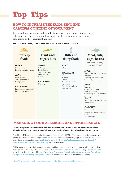# **Top Tips**

## **HOW TO INCREASE THE IRON, ZINC AND CALCIUM CONTENT OF YOUR MENU**

Research shows that some children in Britain aren't getting enough iron, zinc and calcium in their diets to support their rapid growth. Here are some ways to boost their intake of these important minerals.

## **SOURCES OF IRON, ZINC AND CALCIUM IN EACH FOOD GROUP:**



**Starchy** foods

**IRON IRON ZINC** *sources of protein* Wholemeal bread Fortified breakfast cereals

**ZINC** Wholegrain and wheat germ breads Plain popcorn

**CALCIUM**  Bread (except wholemeal) Bread-based products



**IRON** Pulses e.g. chickpeas, lentils, beans (not green beans) Dried apricots Raisins

**CALCIUM**  Dried figs

## Milk and dairy foods

**ZINC** Cheese

## **CALCIUM**

Milk Yoghurt Cheese Milk-based desserts e.g. custard Soya drinks enriched with calcium



## Meat, fish, eggs, beans

*and other non-dairy* 

## **IRON**

Lean red meat e.g. beef, lamb Soya beans, Pulses e.g. chickpeas, lentils, beans (not green beans)

## **ZINC**

Lean red meat e.g. beef, lamb, pork Dark poultry meat Oily fish e.g. canned sardines, pilchards, mackerel Quorn™ Peanuts/ground nuts/almonds Sesame seeds

## **CALCIUM**

Canned sardines or pilchards, drained and mashed up with the bones Tofu (soya bean)

## **MANAGING FOOD ALLERGIES AND INTOLERANCES**

## **Food allergies or intolerances must be taken seriously. Schools and caterers should work closely with parents to support children with medically-verified allergies or intolerances.**

The 2014 EU Food Information for Consumers Regulation (1169/2011)<sup>4</sup> requires food businesses to provide allergy information for unpackaged foods. There are also changes to existing legislation on labelling allergenic ingredients in pre-packed foods. See **http://www.food.gov.uk/enforcement/regulation/fir/ labellingproposals/#.U5hox5RdWfg** for more information.

While it can sometimes feel daunting to cater for children with allergies or intolerances, it is important that these children can enjoy eating school food with their friends. There are a number of organisations who can provide practical help with this issue. Go to **http://whatworkswell.schoolfoodplan.com/articles/ category/16/catering-for-special-diets** for a comprehensive list of helpful organisations.

4 http://ec.europa.eu/food/food/labellingnutrition/foodlabelling/proposed\_legislation\_en.htm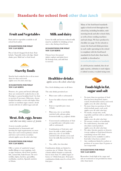## **Standards for school food** *other than lunch*



## Fruit and Vegetables

Fruit and/or vegetables available in all school food outlets

#### **SUGGESTIONS FOR WHAT YOU CAN SERVE**

Pots of sliced/chopped fresh fruit. Fruit kebabs. Vegetable sticks with dips. Salad shaker pots. Malt loaf or fruit bread



## Starchy foods

Starchy food cooked in fat or oil no more than two days each week *(applies across the whole school day)*

#### **SUGGESTIONS FOR WHAT YOU CAN SERVE**

Potatoes, rice, pasta and bread (although these are restricted if cooked in fat or oil). Porridge is a great breakfast food. Use fruit to sweeten if necessary. Otherwise, choose fortified breakfast cereals with higher fibre and low or medium sugar content. Avoid cereals with lots of added sugar and salt



## Meat, fish, eggs, beans

*and other non-dairy sources of protein*

A meat or poultry product (manufactured or homemade and meeting the legal requirements) no more than once each week in primary schools and twice each week in secondary schools *(applies across the whole school day)*

#### **SUGGESTIONS FOR WHAT YOU CAN SERVE**

Offer a variety of sandwich/wraps/ muffin fillings or toast toppings, such as eggs, houmous, sliced meat, poultry, fish, canned fish, baked beans. Or serve tortillas, fajitas, burritos, quesadillas, enchiladas, omelette, Spanish omelette or frittata



## Milk and dairy

Lower fat milk and lactose reduced milk must be available for drinking at least once a day during school hours

#### **SUGGESTIONS FOR WHAT YOU CAN SERVE**

Choose lower fat natural (plain) yoghurt and plain lower fat fromage frais, and add fruit to sweeten



## Healthier drinks

*applies across the whole school day*

Free, fresh drinking water at all times

The only drinks permitted are:

- Plain water (still or carbonated)
- Lower fat milk or lactose reduced milk
- Fruit or vegetable juice (max 150mls)
- Plain soya, rice or oat drinks enriched with calcium; plain fermented milk (e.g. yoghurt) drinks
- Unsweetened combinations of fruit or vegetable juice with plain water (still or carbonated)
- Combinations of fruit juice and lower fat milk or plain yoghurt, plain soya, rice or oat drinks enriched with calcium; cocoa and lower fat milk; flavoured lower fat milk
- Tea, coffee, hot chocolate

Combination drinks are limited to a portion size of 330mls. They may contain added vitamins or minerals, but no more than 5% added sugars or honey or 150mls fruit juice. Fruit juice combination drinks must be at least 45% fruit juice

Many of the food-based standards apply to food served throughout the school day, including breakfast, midmorning break and after school clubs, as well as from vending machines and tuck shops. We have produced a checklist (see page 16) for schools to ensure the food and drink provision in each outlet operating in the school is compliant with the food-based standards for food other than lunch, available to download at

www.schoolfoodplan.com/standards

*As with the previous standards, these do not apply at parties, celebrations to mark religious or cultural occasions, or at fund-raising events.*



## Foods high in fat, sugar and salt

- No more than two portions of food that has been deep-fried, battercoated, breadcrumb-coated, each week *(applies across the whole school day)*
- No more than two portions of food which include pastry each week *(applies across the whole school day)*
- No snacks, except nuts, seeds, vegetables and fruit with no added salt, sugar or fat
	- *(applies across the whole school day)*
- No savoury crackers or breadsticks
- No confectionery, chocolate and chocolate-coated products *(applies across the whole school day)*
- No cakes, biscuits, pastries or desserts (except yoghurt or fruit-based desserts containing at least 50% fruit)
- Salt must not be available to add to food after it has been cooked
- Any condiments limited to sachets or portions of no more than 10 grams or one teaspoonful

## **SUGGESTIONS FOR WHAT YOU CAN SERVE**

Remember: foods high in fat, sugar and salt are restricted or not permitted at times other than lunch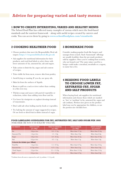## **Advice for preparing varied and tasty menus**

## **1 HOW TO CREATE INTERESTING, VARIED AND HEALTHY MENUS**

The School Food Plan has collected many examples of menus which meet the food-based standards and the nutrient framework – along with useful recipes created by caterers and cooks. You can access them by going to **www.schoolfoodplan.com/standards**

## **2 COOKING HEALTHIER FOOD**

- • Choose products that meet the Responsibility Deal salt targets: **https://responsibilitydeal.dh.gov.uk**
- Ask suppliers for nutritional information for their products, and read food labels to select those with lower amounts of fat, saturated fat, salt and sugars.
- Take action to limit the fat, sugar and salt content of recipes.
- Trim visible fat from meat, remove skin from poultry.
- Avoid frying or roasting. If you do, use spray oils.
- Skim fat from the surfaces of liquids.
- Roast or grill on a rack or trivet rather than cooking in a flat oven tray.
- Thicken soups and sauces with puréed vegetables or reductions, rather than adding extra flour and fat.
- Use lower fat vinaigrette or yoghurt dressings instead of mayonnaise.
- Don't add salt when boiling starchy foods or vegetables.
- Try halving the amount of sugar suggested in recipes. Or use fresh or dried fruit in dishes instead of sugar.

## **3 HOMEMADE FOOD**

Consider making popular foods like burgers and sausages from scratch. Such 'homemade' offerings are usually healthier than the pre-made products sold by suppliers. Once you're cooking from scratch, why not branch out? The same mince used for a burger could make a meatloaf, meatballs or a ragout, to name but a few.

## **4 READING FOOD LABELS TO CHOOSE LOWER FAT, SATURATED FAT, SUGAR AND SALT PRODUCTS**

When buying food, ask suppliers for nutritional information and choose those which are marked as 'low' or 'medium' in fat, saturated fat, sugar and salt (sodium). Portion sizes given on the product label may not be appropriate for children, so use the portion size checklist here.

## **FOOD LABELLING GUIDELINES FOR FAT, SATURATED FAT, SALT AND SUGAR PER 100G**  (WHETHER OR NOT IT IS SOLD BY VOLUME)

| <b>NUTRIENT</b>                 | <b>WHAT IS LOW</b><br>per $100g$ ? | <b>WHAT IS MEDIUM</b><br>per $100g$ ? | <b>WHAT IS HIGH</b><br>per $100g$ ? | <b>WHAT IS HIGH</b><br>per portion? |  |  |
|---------------------------------|------------------------------------|---------------------------------------|-------------------------------------|-------------------------------------|--|--|
| Fat                             | $3.0g$ or less                     | $3.0 - 17.5g$                         | More than 17.5g                     | More than $21.0g$                   |  |  |
| Saturated Fat                   | 1.5g or less                       | $1.5 - 5.0g$                          | More than $5.0g$                    | More than $6.0g$                    |  |  |
| Sugar                           | $5.0g$ or less                     | $5.0 - 22.5g$                         | More than 22.5g                     | More than $27.0g$                   |  |  |
| Salt                            | $0.3g$ or less                     | $0.3 - 1.5g$                          | More than 1.5g                      | More than 1.8g                      |  |  |
| Criteria for drinks (per 100ml) |                                    |                                       |                                     |                                     |  |  |
| <b>Total Fat</b>                | 1.5g or less                       | $1.5 - 8.75g$                         | More than $8.75g$                   | More than $10.5g$                   |  |  |
| Saturated fat                   | $0.75g$ or less                    | $0.75 - 2.5g$                         | More than $2.5g$                    | More than $3.0g$                    |  |  |
| (Total) Sugars                  | $2.5g$ or less                     | $2.5 - 11.25g$                        | More than $11.25g$                  | More than $13.5g$                   |  |  |
| $Salt*$                         | $0.3g$ or less                     | $0.3 - 0.75g$                         | More than $0.75g$                   | More than $0.9g$                    |  |  |

\* Sodium from all sources expressed as salt (1g sodium = 2.2.g salt)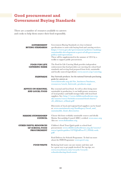## **Good procurement and Government Buying Standards**

There are a number of resources available to caterers and cooks to help them source their food responsibly.

| <b>GOVERNMENT</b><br><b>BUYING STANDARDS</b>                          | Government Buying Standards set clear technical<br>specifications to assist with buying food and catering services.<br>https://www.gov.uk/government/policies/making-<br>sustainable-development-a-part-of-all-government-<br>policy-and-operations<br>These will be supplemented in the summer of 2014 by a<br>toolkit to support public procurement. |
|-----------------------------------------------------------------------|--------------------------------------------------------------------------------------------------------------------------------------------------------------------------------------------------------------------------------------------------------------------------------------------------------------------------------------------------------|
| <b>FOOD FOR LIFE</b><br><b>CATERING MARK</b>                          | The Food for Life Catering Mark provides independent<br>endorsement that food providers are meeting the school food<br>standards and serving food prepared from fresh, sustainable<br>and locally sourced ingredients: www.sacert.org/catering                                                                                                         |
| <b>FAIRTRADE</b>                                                      | Buy Fairtrade products. See the national Fairtrade purchasing<br>guide for caterers at:<br>www.fairtrade.org.uk/for_business/business_<br>resources/stock_fairtrade_products.aspx                                                                                                                                                                      |
| <b>ADVICE ON SEASONAL</b><br><b>AND LOCAL FOOD</b>                    | Buy seasonal and local food. As well as often being more<br>sustainable in production, it can build greater awareness<br>of local produce and build stronger links with local food<br>suppliers. See: http://www.childrensfoodtrust.org.<br>uk/assets/rsrcs/british-seasonal-food-charts/<br>cft_sfdchart_alfinal.pdf                                  |
|                                                                       | Directories of local and regional food suppliers can be found<br>at: www.sustainweb.org/foodlegacy/local_and_<br>sustainable_food_directories                                                                                                                                                                                                          |
| <b>MARINE STEWARDSHIP</b><br><b>COUNCIL</b>                           | Choose fish from verifiably sustainable sources and ideally<br>Marine Stewardship Council (MSC) certified: www.msc.org<br>Also see: www.fishonline.org                                                                                                                                                                                                 |
| <b>OTHER USEFUL RESOURCES</b><br>OF SCHOOL FOOD<br><b>PROCUREMENT</b> | Children's Food Trust Quick guide to school food<br>procurement: www.childrensfoodtrust.org.uk/assets/<br>rsrcs/quick-guides/CFTQGdProcV2_FINAL-web.<br>pdf                                                                                                                                                                                            |
|                                                                       | Food Delivery for Schools Programme. To find out more<br>about the FDfS Programme: www.pro5.org                                                                                                                                                                                                                                                        |
| <b>FOOD WASTE</b>                                                     | Reducing food waste can save money and time and<br>be a great way to get pupils involved. For top tips, see:<br>www.recyclenow.com/recycle/recycle-<br>schoolreducing-food-waste                                                                                                                                                                       |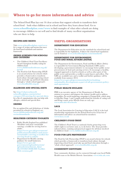## **Where to go for more information and advice**

The School Food Plan lays out 16 clear actions that support schools to transform their school food – both what children eat in school and how they learn about food. Go to **www.schoolfoodplan.com/www** to find examples of what other schools are doing to encourage children to eat well and to find details of many excellent organisations who are there to help.

### **RECIPES AND MENUS**

Visit **www.schoolfoodplan.com/www** for a range of recipes and menus that meet the food based standards and nutrient framework.

#### **AWARD SCHEMES FOR SCHOOLS AND CATERERS**

- The Children's Food Trust Excellence Award champions healthy eating for children food.  **www.childrensfoodtrust.org.uk/ award**
- The Food for Life Partnership (FFLP) is an award scheme for schools which provides a framework to transform food culture through improving school food, meal take up and food education through a 'whole school approach'. **www.foodforlife.org.uk**

#### **ALLERGIES AND SPECIAL DIETS**

See **http://whatworkswell. schoolfoodplan.com/articles/ category/16/catering-for-special-diets** for a list of organisations who can help with allergies, cultural and special diets

#### **DRINKS**

For an updated list and definitions of drinks permitted in schools in England, see: **www.childrensfoodtrust.org.uk/ revisedstandards**

#### **HEALTHIER CATERING TOOLKITS**

- Public Health England has published 'Healthier and more sustainable catering: a toolkit for serving food to adults'. **https://www.gov.uk/government/ publications/healthier-and-moresustainable-catering-a-toolkit-forserving-food-to-adults**
- Department for Health catering guidance for small businesses. **https://www.gov.uk/ government/uploads/system/ uploads/attachment\_data/ file/193106/130408-RD-Toolkit-Web-version.pdf**

## **USEFUL ORGANISATIONS**

### **DEPARTMENT FOR EDUCATION**

The Department for Education sets the standards for school food and is responsible for the legislation. A link to the school food regulations can be found at: **www.schoolfoodplan.com/standards**

#### **DEPARTMENT FOR ENVIRONMENT, FOOD AND RURAL AFFAIRS (DEFRA)**

The Department for Environment, Food and Rural Affairs (Defra) is responsible for Government Buying Standards (GBS) and is developing a government initiative to encourage better public sector procurement of food and catering services. It encourages a healthy, engaged approach to food in schools as well as other parts of the public sector and provides a toolkit to assist buyers and sellers. The GBS are available now and a toolkit and further guidance will be available from summer 2014:

**https://www.gov.uk/government/policies/makingsustainable-development-a-part-of-all-government-policyand-operations**

### **PUBLIC HEALTH ENGLAND**

PHE is an executive agency of the Department of Health. Its mission is to protect and improve the nation's health and to address inequalities. Its social marketing campaign is Change4Life, which aims to help Key Stage 1 and 2 pupils understand the benefits of eating well and living a more active lifestyle from an early age: **www.nhs.uk/c4l/schools**

#### **LACA**

The Lead Association for Catering in Education (LACA) is the lead membership organisation for the School Food sector. It has lots of information and advice on school food for members: **www.laca.co.uk**

#### **CHILDREN'S FOOD TRUST**

The Children's Food Trust is a national charity protecting every child's right to eat better and, so, to do better. The Trust provides tailored advice, training and practical support for all those involved in children's food: **www.childrensfoodtrust.org.uk**

#### **FOOD FOR LIFE PARTNERSHIP**

The Food for Life Partnership (FFLP) is an award scheme for schools which provides a framework to transform food culture through improving school food, meal take up and food education through a 'whole school approach': **www.foodforlife.org.uk**

#### **COMMUNITY DIETITIANS**

Your community dietitian can be contacted through your local Public Health team or the British Dietetic Association: **www.bda.uk.com**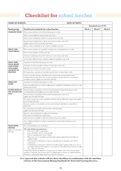# **Checklist for** *school lunches*

| <b>NAME OF SCHOOL:</b><br><b>DATE OF MENU:</b> |                                                                                                                                                                                                                                                                                                                                                                                                                                                                                                                                                                                                                                                                                                                                                                       |        |                    |        |
|------------------------------------------------|-----------------------------------------------------------------------------------------------------------------------------------------------------------------------------------------------------------------------------------------------------------------------------------------------------------------------------------------------------------------------------------------------------------------------------------------------------------------------------------------------------------------------------------------------------------------------------------------------------------------------------------------------------------------------------------------------------------------------------------------------------------------------|--------|--------------------|--------|
|                                                |                                                                                                                                                                                                                                                                                                                                                                                                                                                                                                                                                                                                                                                                                                                                                                       |        | Standard met (Y/N) |        |
| Food group                                     | Food-based standards for school lunches                                                                                                                                                                                                                                                                                                                                                                                                                                                                                                                                                                                                                                                                                                                               | Week 1 | Week 2             | Week 3 |
| <b>STARCHY FOOD</b>                            | One or more portions of food from this group every day                                                                                                                                                                                                                                                                                                                                                                                                                                                                                                                                                                                                                                                                                                                |        |                    |        |
|                                                | Three or more different starchy foods each week                                                                                                                                                                                                                                                                                                                                                                                                                                                                                                                                                                                                                                                                                                                       |        |                    |        |
|                                                | One or more wholegrain varieties of starchy food each week                                                                                                                                                                                                                                                                                                                                                                                                                                                                                                                                                                                                                                                                                                            |        |                    |        |
|                                                | Starchy food cooked in fat or oil no more than two days each week<br>(applies to food served across the whole school day)                                                                                                                                                                                                                                                                                                                                                                                                                                                                                                                                                                                                                                             |        |                    |        |
|                                                | Bread - with no added fat or oil - must be available every day                                                                                                                                                                                                                                                                                                                                                                                                                                                                                                                                                                                                                                                                                                        |        |                    |        |
| <b>FRUIT AND</b>                               | One or more portions of vegetables or salad as an accompaniment every day                                                                                                                                                                                                                                                                                                                                                                                                                                                                                                                                                                                                                                                                                             |        |                    |        |
| <b>VEGETABLES</b>                              | One or more portions of fruit every day                                                                                                                                                                                                                                                                                                                                                                                                                                                                                                                                                                                                                                                                                                                               |        |                    |        |
|                                                | A dessert containing at least 50% fruit two or more times each week                                                                                                                                                                                                                                                                                                                                                                                                                                                                                                                                                                                                                                                                                                   |        |                    |        |
|                                                | At least three different fruits, and three different vegetables each week                                                                                                                                                                                                                                                                                                                                                                                                                                                                                                                                                                                                                                                                                             |        |                    |        |
| MEAT, FISH,                                    | A portion of food from this group every day                                                                                                                                                                                                                                                                                                                                                                                                                                                                                                                                                                                                                                                                                                                           |        |                    |        |
| <b>EGGS, BEANS</b><br><b>AND OTHER</b>         | A portion of meat or poultry on three or more days each week                                                                                                                                                                                                                                                                                                                                                                                                                                                                                                                                                                                                                                                                                                          |        |                    |        |
| <b>NON-DAIRY</b>                               | Oily fish once or more every three weeks                                                                                                                                                                                                                                                                                                                                                                                                                                                                                                                                                                                                                                                                                                                              |        |                    |        |
| <b>SOURCES OF</b><br><b>PROTEIN</b>            | For vegetarians, a portion of non-dairy protein three or more days a week                                                                                                                                                                                                                                                                                                                                                                                                                                                                                                                                                                                                                                                                                             |        |                    |        |
|                                                | A meat or poultry product (manufactured or homemade and meeting the legal                                                                                                                                                                                                                                                                                                                                                                                                                                                                                                                                                                                                                                                                                             |        |                    |        |
|                                                | requirements) no more than once a week in primary schools and twice each week in<br>secondary schools, (applies across the whole school day)                                                                                                                                                                                                                                                                                                                                                                                                                                                                                                                                                                                                                          |        |                    |        |
| <b>MILK AND</b>                                | A portion of food from this group every day                                                                                                                                                                                                                                                                                                                                                                                                                                                                                                                                                                                                                                                                                                                           |        |                    |        |
| <b>DAIRY</b>                                   | Lower fat milk and lactose reduced milk must be available for drinking at least once a day<br>during school hours                                                                                                                                                                                                                                                                                                                                                                                                                                                                                                                                                                                                                                                     |        |                    |        |
| <b>FOODS HIGH IN</b><br>FAT, SUGAR AND         | No more than two portions a week of food that has been deep-fried, batter-coated<br>or breadcrumb-coated (applies across the whole school day)                                                                                                                                                                                                                                                                                                                                                                                                                                                                                                                                                                                                                        |        |                    |        |
| <b>SALT</b>                                    | No more than two portions of food which include pastry each week<br>(applies across the whole school day)                                                                                                                                                                                                                                                                                                                                                                                                                                                                                                                                                                                                                                                             |        |                    |        |
|                                                | No snacks, except nuts, seeds, vegetables and fruit with no added salt, sugar or fat (applies<br>across the whole school day)                                                                                                                                                                                                                                                                                                                                                                                                                                                                                                                                                                                                                                         |        |                    |        |
|                                                | Savoury crackers or breadsticks can be served at lunch with fruit or vegetables or<br>dairy food                                                                                                                                                                                                                                                                                                                                                                                                                                                                                                                                                                                                                                                                      |        |                    |        |
|                                                | No confectionery, chocolate and chocolate-coated products,<br>(applies across the whole school day)                                                                                                                                                                                                                                                                                                                                                                                                                                                                                                                                                                                                                                                                   |        |                    |        |
|                                                | Desserts, cakes and biscuits are allowed at lunchtime.<br>They must not contain any confectionery                                                                                                                                                                                                                                                                                                                                                                                                                                                                                                                                                                                                                                                                     |        |                    |        |
|                                                | Salt must not be available to add to food after it has been cooked                                                                                                                                                                                                                                                                                                                                                                                                                                                                                                                                                                                                                                                                                                    |        |                    |        |
|                                                | Any condiments limited to sachets or portions of no more than 10 grams or one                                                                                                                                                                                                                                                                                                                                                                                                                                                                                                                                                                                                                                                                                         |        |                    |        |
| <b>HEALTHIER</b>                               | teaspoonful.<br>Free, fresh drinking water at all times                                                                                                                                                                                                                                                                                                                                                                                                                                                                                                                                                                                                                                                                                                               |        |                    |        |
| <b>DRINKS</b>                                  | The only drinks permitted are:                                                                                                                                                                                                                                                                                                                                                                                                                                                                                                                                                                                                                                                                                                                                        |        |                    |        |
| applies across the whole<br>school day         | Plain water (still or carbonated)<br>Lower fat milk or lactose reduced milk<br>$\bullet$<br>Fruit or vegetable juice (max 150mls)<br>$\bullet$<br>Plain soya, rice or oat drinks enriched with calcium; plain fermented milk (e.g.<br>$\bullet$<br>yoghurt) drinks<br>Unsweetened combinations of fruit or vegetable juice with plain water (still or<br>carbonated)<br>Combinations of fruit juice and lower fat milk or plain yoghurt, plain soya, rice or<br>oat drinks enriched with calcium; cocoa and lower fat milk; flavoured lower fat milk<br>Tea, coffee, hot chocolate<br>Combination drinks are limited to a portion size of 330mls. They may contain added<br>vitamins or minerals, but no more than $5\%$ added sugars or honey or 150mls fruit juice. |        |                    |        |
|                                                | Fruit juice combination drinks must be at least 45% fruit juice                                                                                                                                                                                                                                                                                                                                                                                                                                                                                                                                                                                                                                                                                                       |        |                    |        |

**It is expected that schools will use these checklists in combination with the nutrition criteria of the Government Buying Standards for Food and Catering Services.**